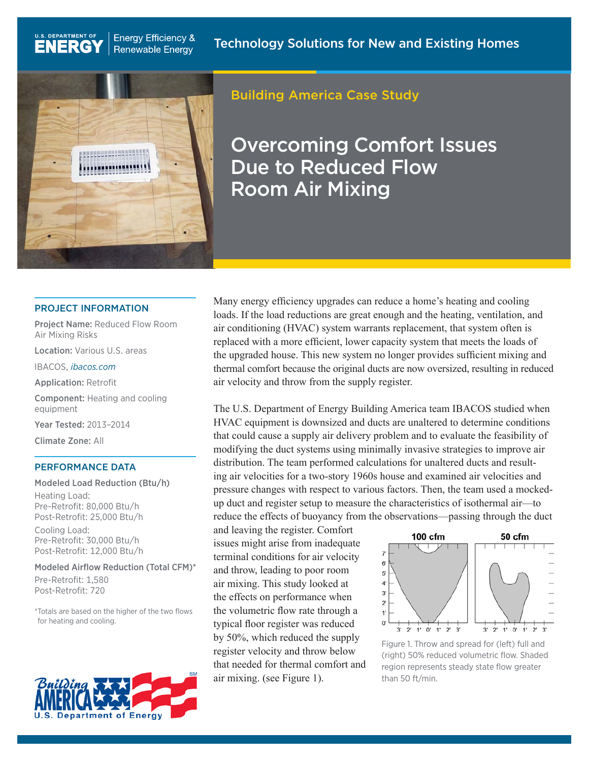

**Energy Efficiency &** 

**Renewable Energy** 

# Building America Case Study

Overcoming Comfort Issues Due to Reduced Flow Room Air Mixing

### PROJECT INFORMATION

Project Name: Reduced Flow Room Air Mixing Risks

Location: Various U.S. areas

IBACOS, *[ibacos.com](http://ibacos.com)*

U.S. DEPARTMENT OF

**ENERG** 

Application: Retrofit

Component: Heating and cooling equipment

Year Tested: 2013–2014

Climate Zone: All

#### PERFORMANCE DATA

Modeled Load Reduction (Btu/h) Heating Load: Pre-Retrofit: 80,000 Btu/h Post-Retrofit: 25,000 Btu/h Cooling Load: Pre-Retrofit: 30,000 Btu/h Post-Retrofit: 12,000 Btu/h

Modeled Airflow Reduction (Total CFM)\*

Pre-Retrofit: 1,580 Post-Retrofit: 720

\*Totals are based on the higher of the two flows for heating and cooling.



Many energy efficiency upgrades can reduce a home's heating and cooling loads. If the load reductions are great enough and the heating, ventilation, and air conditioning (HVAC) system warrants replacement, that system often is replaced with a more efficient, lower capacity system that meets the loads of the upgraded house. This new system no longer provides sufficient mixing and thermal comfort because the original ducts are now oversized, resulting in reduced air velocity and throw from the supply register.

The U.S. Department of Energy Building America team IBACOS studied when HVAC equipment is downsized and ducts are unaltered to determine conditions that could cause a supply air delivery problem and to evaluate the feasibility of modifying the duct systems using minimally invasive strategies to improve air distribution. The team performed calculations for unaltered ducts and resulting air velocities for a two-story 1960s house and examined air velocities and pressure changes with respect to various factors. Then, the team used a mockedup duct and register setup to measure the characteristics of isothermal air—to reduce the effects of buoyancy from the observations—passing through the duct

and leaving the register. Comfort issues might arise from inadequate terminal conditions for air velocity and throw, leading to poor room air mixing. This study looked at the effects on performance when the volumetric flow rate through a typical floor register was reduced by 50%, which reduced the supply register velocity and throw below that needed for thermal comfort and air mixing. (see Figure 1).



Figure 1. Throw and spread for (left) full and (right) 50% reduced volumetric flow. Shaded region represents steady state flow greater than 50 ft/min.